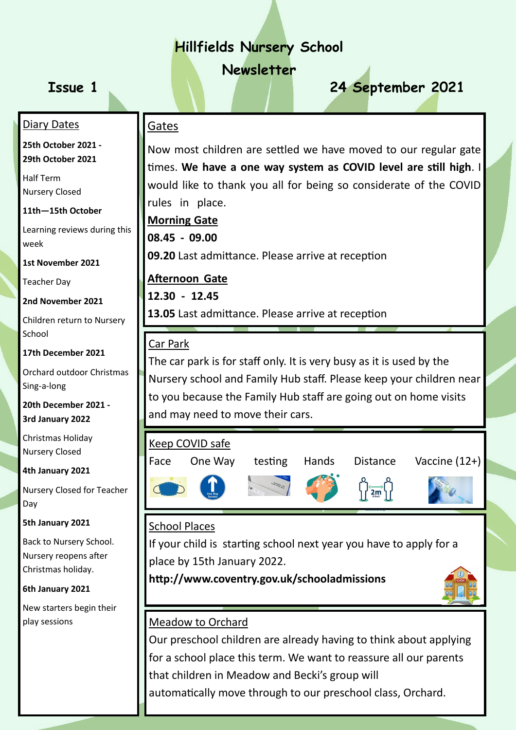# **Hillfields Nursery School**

**Newsletter**

# **Issue 1 24 September 2021**

#### Diary Dates

**25th October 2021 - 29th October 2021**

Half Term Nursery Closed

**11th—15th October**

Learning reviews during this week

**1st November 2021**

Teacher Day

**2nd November 2021**

Children return to Nursery **School** 

**17th December 2021**

Orchard outdoor Christmas Sing-a-long

**20th December 2021 - 3rd January 2022**

Christmas Holiday Nursery Closed

**4th January 2021**

Nursery Closed for Teacher Day

**5th January 2021**

Back to Nursery School. Nursery reopens after Christmas holiday.

**6th January 2021**

New starters begin their play sessions

Gates

Now most children are settled we have moved to our regular gate times. **We have a one way system as COVID level are still high**. I would like to thank you all for being so considerate of the COVID rules in place.

**Morning Gate 08.45 - 09.00 ………………………………………………………………………………**

**09.20** Last admittance. Please arrive at reception

**Afternoon Gate……………………………………………………………………………. 12.30 - 12.45………………………………………………………………………………. 13.05** Last admittance. Please arrive at reception

### Car Park

The car park is for staff only. It is very busy as it is used by the Nursery school and Family Hub staff. Please keep your children near to you because the Family Hub staff are going out on home visits and may need to move their cars.



# School Places

If your child is starting school next year you have to apply for a place by 15th January 2022.

**http://www.coventry.gov.uk/schooladmissions** 



### Meadow to Orchard

Our preschool children are already having to think about applying for a school place this term. We want to reassure all our parents that children in Meadow and Becki's group will automatically move through to our preschool class, Orchard.